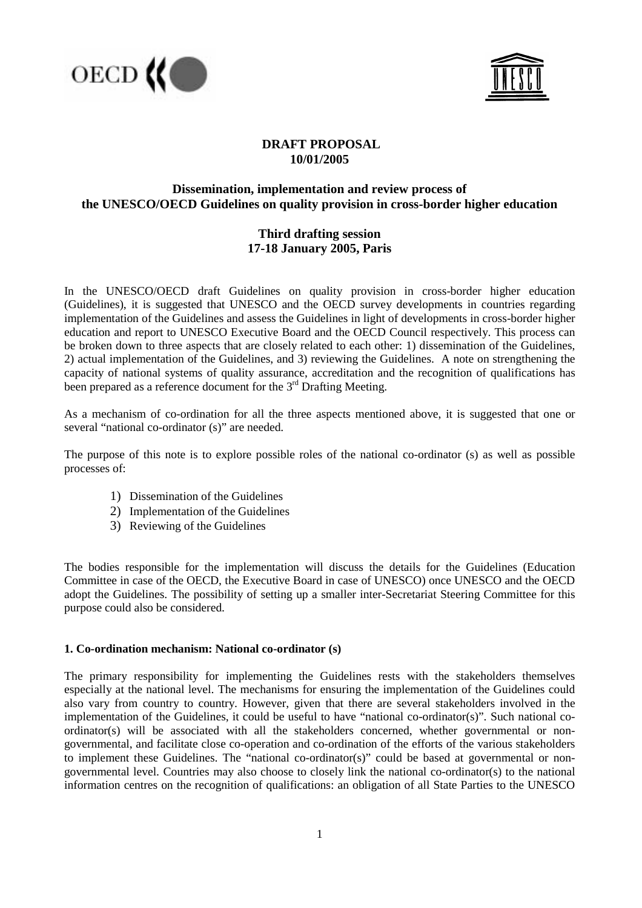



# **DRAFT PROPOSAL 10/01/2005**

# **Dissemination, implementation and review process of the UNESCO/OECD Guidelines on quality provision in cross-border higher education**

# **Third drafting session 17-18 January 2005, Paris**

In the UNESCO/OECD draft Guidelines on quality provision in cross-border higher education (Guidelines), it is suggested that UNESCO and the OECD survey developments in countries regarding implementation of the Guidelines and assess the Guidelines in light of developments in cross-border higher education and report to UNESCO Executive Board and the OECD Council respectively. This process can be broken down to three aspects that are closely related to each other: 1) dissemination of the Guidelines, 2) actual implementation of the Guidelines, and 3) reviewing the Guidelines. A note on strengthening the capacity of national systems of quality assurance, accreditation and the recognition of qualifications has been prepared as a reference document for the  $3<sup>rd</sup>$  Drafting Meeting.

As a mechanism of co-ordination for all the three aspects mentioned above, it is suggested that one or several "national co-ordinator (s)" are needed.

The purpose of this note is to explore possible roles of the national co-ordinator (s) as well as possible processes of:

- 1) Dissemination of the Guidelines
- 2) Implementation of the Guidelines
- 3) Reviewing of the Guidelines

The bodies responsible for the implementation will discuss the details for the Guidelines (Education Committee in case of the OECD, the Executive Board in case of UNESCO) once UNESCO and the OECD adopt the Guidelines. The possibility of setting up a smaller inter-Secretariat Steering Committee for this purpose could also be considered.

# **1. Co-ordination mechanism: National co-ordinator (s)**

The primary responsibility for implementing the Guidelines rests with the stakeholders themselves especially at the national level. The mechanisms for ensuring the implementation of the Guidelines could also vary from country to country. However, given that there are several stakeholders involved in the implementation of the Guidelines, it could be useful to have "national co-ordinator(s)". Such national coordinator(s) will be associated with all the stakeholders concerned, whether governmental or nongovernmental, and facilitate close co-operation and co-ordination of the efforts of the various stakeholders to implement these Guidelines. The "national co-ordinator(s)" could be based at governmental or nongovernmental level. Countries may also choose to closely link the national co-ordinator(s) to the national information centres on the recognition of qualifications: an obligation of all State Parties to the UNESCO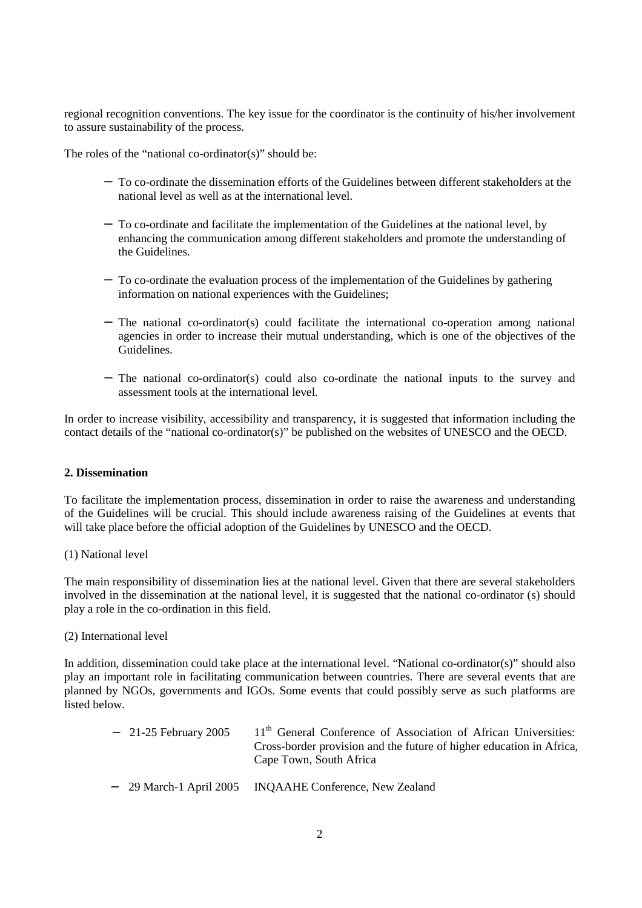regional recognition conventions. The key issue for the coordinator is the continuity of his/her involvement to assure sustainability of the process.

The roles of the "national co-ordinator(s)" should be:

- − To co-ordinate the dissemination efforts of the Guidelines between different stakeholders at the national level as well as at the international level.
- − To co-ordinate and facilitate the implementation of the Guidelines at the national level, by enhancing the communication among different stakeholders and promote the understanding of the Guidelines.
- − To co-ordinate the evaluation process of the implementation of the Guidelines by gathering information on national experiences with the Guidelines;
- − The national co-ordinator(s) could facilitate the international co-operation among national agencies in order to increase their mutual understanding, which is one of the objectives of the Guidelines.
- − The national co-ordinator(s) could also co-ordinate the national inputs to the survey and assessment tools at the international level.

In order to increase visibility, accessibility and transparency, it is suggested that information including the contact details of the "national co-ordinator(s)" be published on the websites of UNESCO and the OECD.

# **2. Dissemination**

To facilitate the implementation process, dissemination in order to raise the awareness and understanding of the Guidelines will be crucial. This should include awareness raising of the Guidelines at events that will take place before the official adoption of the Guidelines by UNESCO and the OECD.

#### (1) National level

The main responsibility of dissemination lies at the national level. Given that there are several stakeholders involved in the dissemination at the national level, it is suggested that the national co-ordinator (s) should play a role in the co-ordination in this field.

#### (2) International level

In addition, dissemination could take place at the international level. "National co-ordinator(s)" should also play an important role in facilitating communication between countries. There are several events that are planned by NGOs, governments and IGOs. Some events that could possibly serve as such platforms are listed below.

| $-$ 21-25 February 2005 | 11 <sup>th</sup> General Conference of Association of African Universities:<br>Cross-border provision and the future of higher education in Africa,<br>Cape Town, South Africa |
|-------------------------|--------------------------------------------------------------------------------------------------------------------------------------------------------------------------------|
|                         | - 29 March-1 April 2005 INQAAHE Conference, New Zealand                                                                                                                        |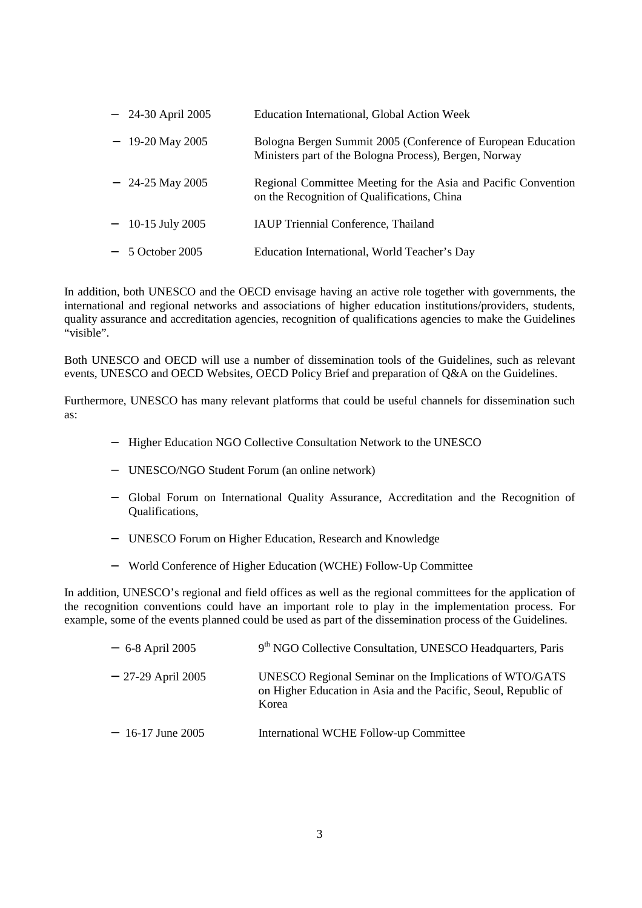| $-$ 24-30 April 2005 | Education International, Global Action Week                                                                            |
|----------------------|------------------------------------------------------------------------------------------------------------------------|
| $-19-20$ May 2005    | Bologna Bergen Summit 2005 (Conference of European Education<br>Ministers part of the Bologna Process), Bergen, Norway |
| $-$ 24-25 May 2005   | Regional Committee Meeting for the Asia and Pacific Convention<br>on the Recognition of Qualifications, China          |
| $-10-15$ July 2005   | IAUP Triennial Conference, Thailand                                                                                    |
| $-5$ October 2005    | Education International, World Teacher's Day                                                                           |

In addition, both UNESCO and the OECD envisage having an active role together with governments, the international and regional networks and associations of higher education institutions/providers, students, quality assurance and accreditation agencies, recognition of qualifications agencies to make the Guidelines "visible".

Both UNESCO and OECD will use a number of dissemination tools of the Guidelines, such as relevant events, UNESCO and OECD Websites, OECD Policy Brief and preparation of Q&A on the Guidelines.

Furthermore, UNESCO has many relevant platforms that could be useful channels for dissemination such as:

- − Higher Education NGO Collective Consultation Network to the UNESCO
- − UNESCO/NGO Student Forum (an online network)
- − Global Forum on International Quality Assurance, Accreditation and the Recognition of Qualifications,
- − UNESCO Forum on Higher Education, Research and Knowledge
- − World Conference of Higher Education (WCHE) Follow-Up Committee

In addition, UNESCO's regional and field offices as well as the regional committees for the application of the recognition conventions could have an important role to play in the implementation process. For example, some of the events planned could be used as part of the dissemination process of the Guidelines.

| $-6-8$ April 2005   | 9 <sup>th</sup> NGO Collective Consultation, UNESCO Headquarters, Paris                                                             |
|---------------------|-------------------------------------------------------------------------------------------------------------------------------------|
| $-27-29$ April 2005 | UNESCO Regional Seminar on the Implications of WTO/GATS<br>on Higher Education in Asia and the Pacific, Seoul, Republic of<br>Korea |
| $-16-17$ June 2005  | International WCHE Follow-up Committee                                                                                              |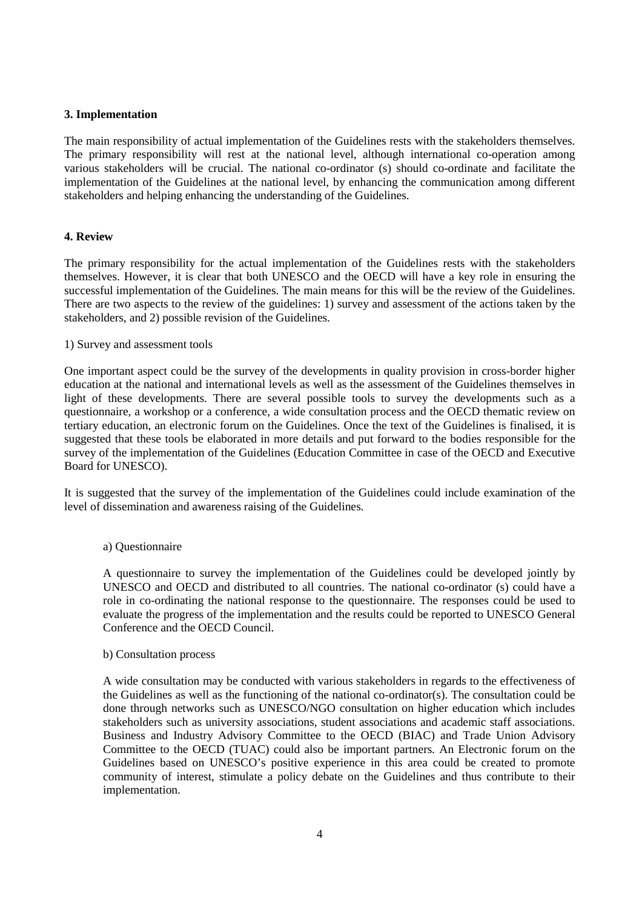## **3. Implementation**

The main responsibility of actual implementation of the Guidelines rests with the stakeholders themselves. The primary responsibility will rest at the national level, although international co-operation among various stakeholders will be crucial. The national co-ordinator (s) should co-ordinate and facilitate the implementation of the Guidelines at the national level, by enhancing the communication among different stakeholders and helping enhancing the understanding of the Guidelines.

## **4. Review**

The primary responsibility for the actual implementation of the Guidelines rests with the stakeholders themselves. However, it is clear that both UNESCO and the OECD will have a key role in ensuring the successful implementation of the Guidelines. The main means for this will be the review of the Guidelines. There are two aspects to the review of the guidelines: 1) survey and assessment of the actions taken by the stakeholders, and 2) possible revision of the Guidelines.

## 1) Survey and assessment tools

One important aspect could be the survey of the developments in quality provision in cross-border higher education at the national and international levels as well as the assessment of the Guidelines themselves in light of these developments. There are several possible tools to survey the developments such as a questionnaire, a workshop or a conference, a wide consultation process and the OECD thematic review on tertiary education, an electronic forum on the Guidelines. Once the text of the Guidelines is finalised, it is suggested that these tools be elaborated in more details and put forward to the bodies responsible for the survey of the implementation of the Guidelines (Education Committee in case of the OECD and Executive Board for UNESCO).

It is suggested that the survey of the implementation of the Guidelines could include examination of the level of dissemination and awareness raising of the Guidelines.

# a) Questionnaire

A questionnaire to survey the implementation of the Guidelines could be developed jointly by UNESCO and OECD and distributed to all countries. The national co-ordinator (s) could have a role in co-ordinating the national response to the questionnaire. The responses could be used to evaluate the progress of the implementation and the results could be reported to UNESCO General Conference and the OECD Council.

### b) Consultation process

A wide consultation may be conducted with various stakeholders in regards to the effectiveness of the Guidelines as well as the functioning of the national co-ordinator(s). The consultation could be done through networks such as UNESCO/NGO consultation on higher education which includes stakeholders such as university associations, student associations and academic staff associations. Business and Industry Advisory Committee to the OECD (BIAC) and Trade Union Advisory Committee to the OECD (TUAC) could also be important partners. An Electronic forum on the Guidelines based on UNESCO's positive experience in this area could be created to promote community of interest, stimulate a policy debate on the Guidelines and thus contribute to their implementation.